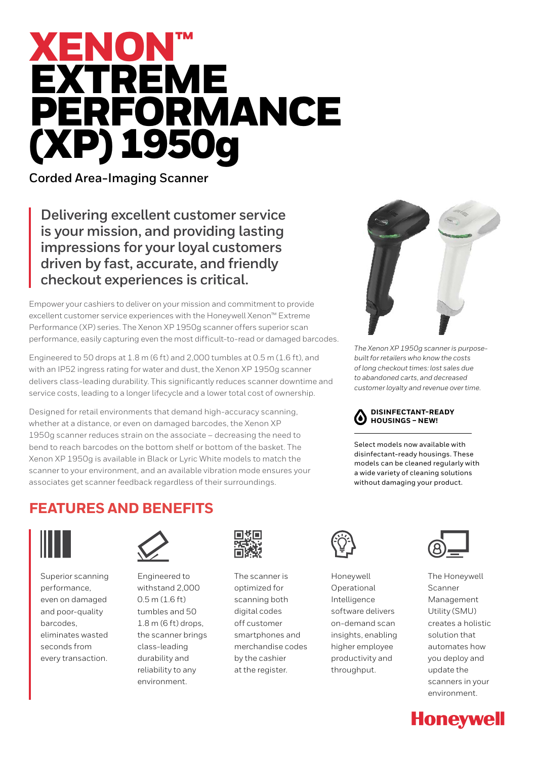# XENON™ EXTREME PERFORMANCE (XP) 1950g

**Corded Area-Imaging Scanner**

**Delivering excellent customer service is your mission, and providing lasting impressions for your loyal customers driven by fast, accurate, and friendly checkout experiences is critical.** 

Empower your cashiers to deliver on your mission and commitment to provide excellent customer service experiences with the Honeywell Xenon™ Extreme Performance (XP) series. The Xenon XP 1950g scanner offers superior scan performance, easily capturing even the most difficult-to-read or damaged barcodes.

Engineered to 50 drops at 1.8 m (6 ft) and 2,000 tumbles at 0.5 m (1.6 ft), and with an IP52 ingress rating for water and dust, the Xenon XP 1950g scanner delivers class-leading durability. This significantly reduces scanner downtime and service costs, leading to a longer lifecycle and a lower total cost of ownership.

Designed for retail environments that demand high-accuracy scanning, whether at a distance, or even on damaged barcodes, the Xenon XP 1950g scanner reduces strain on the associate – decreasing the need to bend to reach barcodes on the bottom shelf or bottom of the basket. The Xenon XP 1950g is available in Black or Lyric White models to match the scanner to your environment, and an available vibration mode ensures your associates get scanner feedback regardless of their surroundings.



*The Xenon XP 1950g scanner is purposebuilt for retailers who know the costs of long checkout times: lost sales due to abandoned carts, and decreased customer loyalty and revenue over time.*



Select models now available with disinfectant-ready housings. These models can be cleaned regularly with a wide variety of cleaning solutions without damaging your product.

## **FEATURES AND BENEFITS**



Superior scanning performance, even on damaged and poor-quality barcodes, eliminates wasted seconds from every transaction.



Engineered to withstand 2,000 0.5 m (1.6 ft) tumbles and 50 1.8 m (6 ft) drops, the scanner brings class-leading durability and reliability to any environment.



The scanner is optimized for scanning both digital codes off customer smartphones and merchandise codes by the cashier at the register.



Honeywell Operational Intelligence software delivers on-demand scan insights, enabling higher employee productivity and throughput.



The Honeywell Scanner Management Utility (SMU) creates a holistic solution that automates how you deploy and update the scanners in your environment.